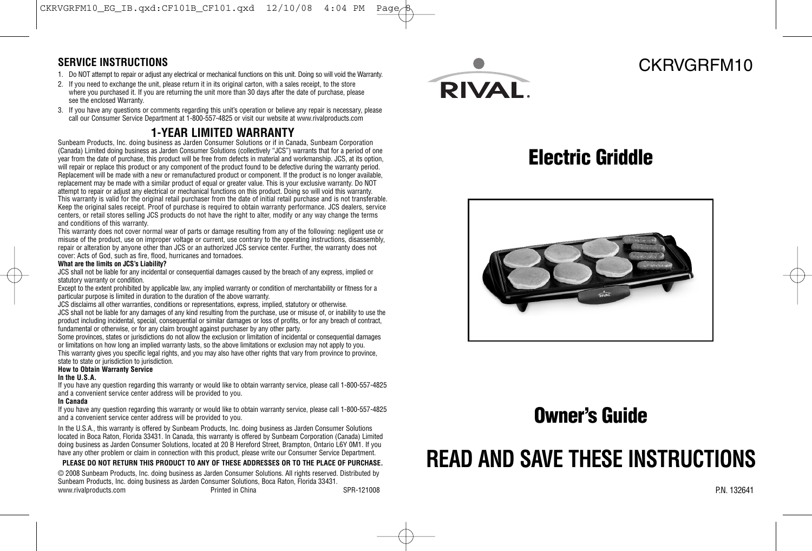### **SERVICE INSTRUCTIONS**

- 1. Do NOT attempt to repair or adjust any electrical or mechanical functions on this unit. Doing so will void the Warranty.
- 2. If you need to exchange the unit, please return it in its original carton, with a sales receipt, to the store where you purchased it. If you are returning the unit more than 30 days after the date of purchase, please see the enclosed Warranty.
- 3. If you have any questions or comments regarding this unit's operation or believe any repair is necessary, please call our Consumer Service Department at 1-800-557-4825 or visit our website at www.rivalproducts.com

### **1-YEAR LIMITED WARRANTY**

Sunbeam Products, Inc. doing business as Jarden Consumer Solutions or if in Canada, Sunbeam Corporation (Canada) Limited doing business as Jarden Consumer Solutions (collectively "JCS") warrants that for a period of one year from the date of purchase, this product will be free from defects in material and workmanship. JCS, at its option, will repair or replace this product or any component of the product found to be defective during the warranty period. Replacement will be made with a new or remanufactured product or component. If the product is no longer available, replacement may be made with a similar product of equal or greater value. This is your exclusive warranty. Do NOT attempt to repair or adjust any electrical or mechanical functions on this product. Doing so will void this warranty. This warranty is valid for the original retail purchaser from the date of initial retail purchase and is not transferable. Keep the original sales receipt. Proof of purchase is required to obtain warranty performance. JCS dealers, service centers, or retail stores selling JCS products do not have the right to alter, modify or any way change the terms and conditions of this warranty.

This warranty does not cover normal wear of parts or damage resulting from any of the following: negligent use or misuse of the product, use on improper voltage or current, use contrary to the operating instructions, disassembly, repair or alteration by anyone other than JCS or an authorized JCS service center. Further, the warranty does not cover: Acts of God, such as fire, flood, hurricanes and tornadoes.

#### **What are the limits on JCS's Liability?**

JCS shall not be liable for any incidental or consequential damages caused by the breach of any express, implied or statutory warranty or condition.

Except to the extent prohibited by applicable law, any implied warranty or condition of merchantability or fitness for a particular purpose is limited in duration to the duration of the above warranty.

JCS disclaims all other warranties, conditions or representations, express, implied, statutory or otherwise. JCS shall not be liable for any damages of any kind resulting from the purchase, use or misuse of, or inability to use the product including incidental, special, consequential or similar damages or loss of profits, or for any breach of contract, fundamental or otherwise, or for any claim brought against purchaser by any other party.

Some provinces, states or jurisdictions do not allow the exclusion or limitation of incidental or consequential damages or limitations on how long an implied warranty lasts, so the above limitations or exclusion may not apply to you. This warranty gives you specific legal rights, and you may also have other rights that vary from province to province, state to state or jurisdiction to jurisdiction.

### **How to Obtain Warranty Service**

### **In the U.S.A.**

If you have any question regarding this warranty or would like to obtain warranty service, please call 1-800-557-4825 and a convenient service center address will be provided to you.

#### **In Canada**

If you have any question regarding this warranty or would like to obtain warranty service, please call 1-800-557-4825 and a convenient service center address will be provided to you.

In the U.S.A., this warranty is offered by Sunbeam Products, Inc. doing business as Jarden Consumer Solutions located in Boca Raton, Florida 33431. In Canada, this warranty is offered by Sunbeam Corporation (Canada) Limited doing business as Jarden Consumer Solutions, located at 20 B Hereford Street, Brampton, Ontario L6Y 0M1. If you have any other problem or claim in connection with this product, please write our Consumer Service Department.

### **PLEASE DO NOT RETURN THIS PRODUCT TO ANY OF THESE ADDRESSES OR TO THE PLACE OF PURCHASE.**

© 2008 Sunbeam Products, Inc. doing business as Jarden Consumer Solutions. All rights reserved. Distributed by Sunbeam Products, Inc. doing business as Jarden Consumer Solutions, Boca Raton, Florida 33431. www.rivalproducts.com **Printed in China** SPR-121008 Printed in China SPR-121008 P.N. 132641



## CKRVGRFM10

## **Electric Griddle**



## **Owner's Guide**

# **READ AND SAVE THESE INSTRUCTIONS**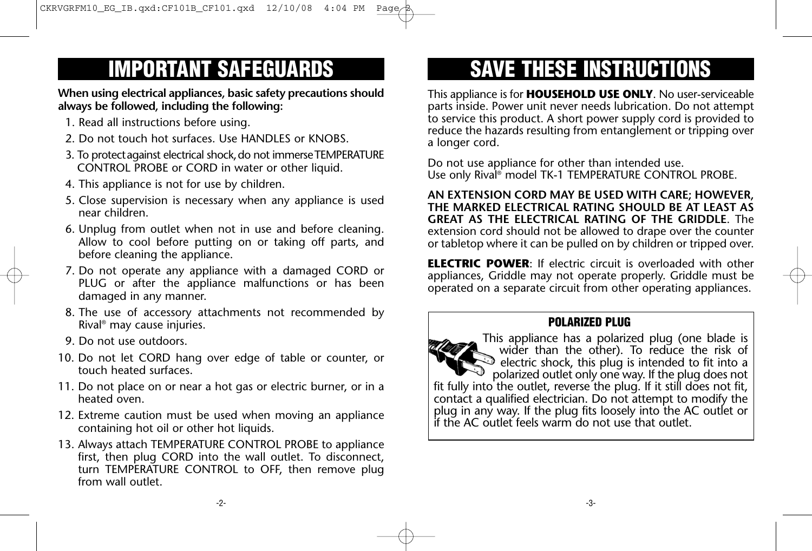# **IMPORTANT SAFEGUARDS**

**When using electrical appliances, basic safety precautions should always be followed, including the following:**

- 1. Read all instructions before using.
- 2. Do not touch hot surfaces. Use HANDLES or KNOBS.
- 3. To protect against electrical shock, do not immerse TEMPERATURE CONTROL PROBE or CORD in water or other liquid.
- 4. This appliance is not for use by children.
- 5. Close supervision is necessary when any appliance is used near children.
- 6. Unplug from outlet when not in use and before cleaning. Allow to cool before putting on or taking off parts, and before cleaning the appliance.
- 7. Do not operate any appliance with a damaged CORD or PLUG or after the appliance malfunctions or has been damaged in any manner.
- 8. The use of accessory attachments not recommended by Rival ® may cause injuries.
- 9. Do not use outdoors.
- 10. Do not let CORD hang over edge of table or counter, or touch heated surfaces.
- 11. Do not place on or near a hot gas or electric burner, or in a heated oven.
- 12. Extreme caution must be used when moving an appliance containing hot oil or other hot liquids.
- 13. Always attach TEMPERATURE CONTROL PROBE to appliance first, then plug CORD into the wall outlet. To disconnect, turn TEMPERATURE CONTROL to OFF, then remove plug from wall outlet.

# **SAVE THESE INSTRUCTIONS**

This appliance is for **HOUSEHOLD USE ONLY**. No user-serviceable parts inside. Power unit never needs lubrication. Do not attempt to service this product. A short power supply cord is provided to reduce the hazards resulting from entanglement or tripping over a longer cord.

Do not use appliance for other than intended use. Use only Rival ® model TK-1 TEMPERATURE CONTROL PROBE.

**AN EXTENSION CORD MAY BE USED WITH CARE; HOWEVER, THE MARKED ELECTRICAL RATING SHOULD BE AT LEAST AS GREAT AS THE ELECTRICAL RATING OF THE GRIDDLE**. The extension cord should not be allowed to drape over the counter or tabletop where it can be pulled on by children or tripped over.

**ELECTRIC POWER**: If electric circuit is overloaded with other appliances, Griddle may not operate properly. Griddle must be operated on a separate circuit from other operating appliances.

### **POLARIZED PLUG**

This appliance has a polarized plug (one blade is wider than the other). To reduce the risk of  $\mathcal D$  electric shock, this plug is intended to fit into a polarized outlet only one way. If the plug does not fit fully into the outlet, reverse the plug. If it still does not fit, contact a qualified electrician. Do not attempt to modify the plug in any way. If the plug fits loosely into the AC outlet or if the AC outlet feels warm do not use that outlet.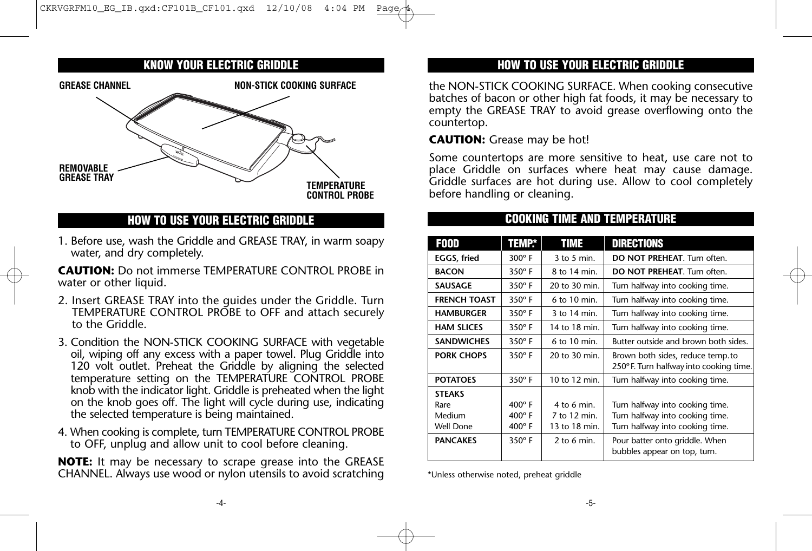### **KNOW YOUR ELECTRIC GRIDDLE**



### **HOW TO USE YOUR ELECTRIC GRIDDLE**

1. Before use, wash the Griddle and GREASE TRAY, in warm soapy water, and dry completely.

**CAUTION:** Do not immerse TEMPERATURE CONTROL PROBE in water or other liquid.

- 2. Insert GREASE TRAY into the guides under the Griddle. Turn TEMPERATURE CONTROL PROBE to OFF and attach securely to the Griddle.
- 3. Condition the NON-STICK COOKING SURFACE with vegetable oil, wiping off any excess with a paper towel. Plug Griddle into 120 volt outlet. Preheat the Griddle by aligning the selected temperature setting on the TEMPERATURE CONTROL PROBE knob with the indicator light. Griddle is preheated when the light on the knob goes off. The light will cycle during use, indicating the selected temperature is being maintained.
- 4. When cooking is complete, turn TEMPERATURE CONTROL PROBE to OFF, unplug and allow unit to cool before cleaning.

**NOTE:** It may be necessary to scrape grease into the GREASE CHANNEL. Always use wood or nylon utensils to avoid scratching

## **HOW TO USE YOUR ELECTRIC GRIDDLE**

the NON-STICK COOKING SURFACE. When cooking consecutive batches of bacon or other high fat foods, it may be necessary to empty the GREASE TRAY to avoid grease overflowing onto the countertop.

### **CAUTION:** Grease may be hot!

Some countertops are more sensitive to heat, use care not to place Griddle on surfaces where heat may cause damage. Griddle surfaces are hot during use. Allow to cool completely before handling or cleaning.

**COOKING TIME AND TEMPERATURE**

| <b>FOOD</b>                                  | <b>TEMP*</b>                                    | TIME                                         | <b>DIRECTIONS</b>                                                                                     |
|----------------------------------------------|-------------------------------------------------|----------------------------------------------|-------------------------------------------------------------------------------------------------------|
| <b>EGGS, fried</b>                           | $300^\circ$ F                                   | $3$ to 5 min.                                | <b>DO NOT PREHEAT.</b> Turn often.                                                                    |
| <b>BACON</b>                                 | $350^\circ$ F                                   | 8 to 14 min.                                 | <b>DO NOT PREHEAT.</b> Turn often.                                                                    |
| <b>SAUSAGE</b>                               | $350^\circ$ F                                   | 20 to 30 min.                                | Turn halfway into cooking time.                                                                       |
| <b>FRENCH TOAST</b>                          | $350^\circ$ F                                   | $6$ to 10 min.                               | Turn halfway into cooking time.                                                                       |
| <b>HAMBURGER</b>                             | $350^\circ$ F                                   | 3 to 14 min.                                 | Turn halfway into cooking time.                                                                       |
| <b>HAM SLICES</b>                            | $350^\circ$ F                                   | 14 to 18 min.                                | Turn halfway into cooking time.                                                                       |
| <b>SANDWICHES</b>                            | $350^\circ$ F                                   | $6$ to 10 min.                               | Butter outside and brown both sides.                                                                  |
| <b>PORK CHOPS</b>                            | $350^\circ$ F                                   | 20 to 30 min.                                | Brown both sides, reduce temp.to<br>250°F. Turn halfway into cooking time.                            |
| <b>POTATOES</b>                              | $350^\circ$ F                                   | 10 to 12 min.                                | Turn halfway into cooking time.                                                                       |
| <b>STEAKS</b><br>Rare<br>Medium<br>Well Done | $400^\circ$ F<br>$400^\circ$ F<br>$400^\circ$ F | 4 to 6 min.<br>7 to 12 min.<br>13 to 18 min. | Turn halfway into cooking time.<br>Turn halfway into cooking time.<br>Turn halfway into cooking time. |
| <b>PANCAKES</b>                              | $350^\circ$ F                                   | 2 to 6 min.                                  | Pour batter onto griddle. When<br>bubbles appear on top, turn.                                        |

\*Unless otherwise noted, preheat griddle